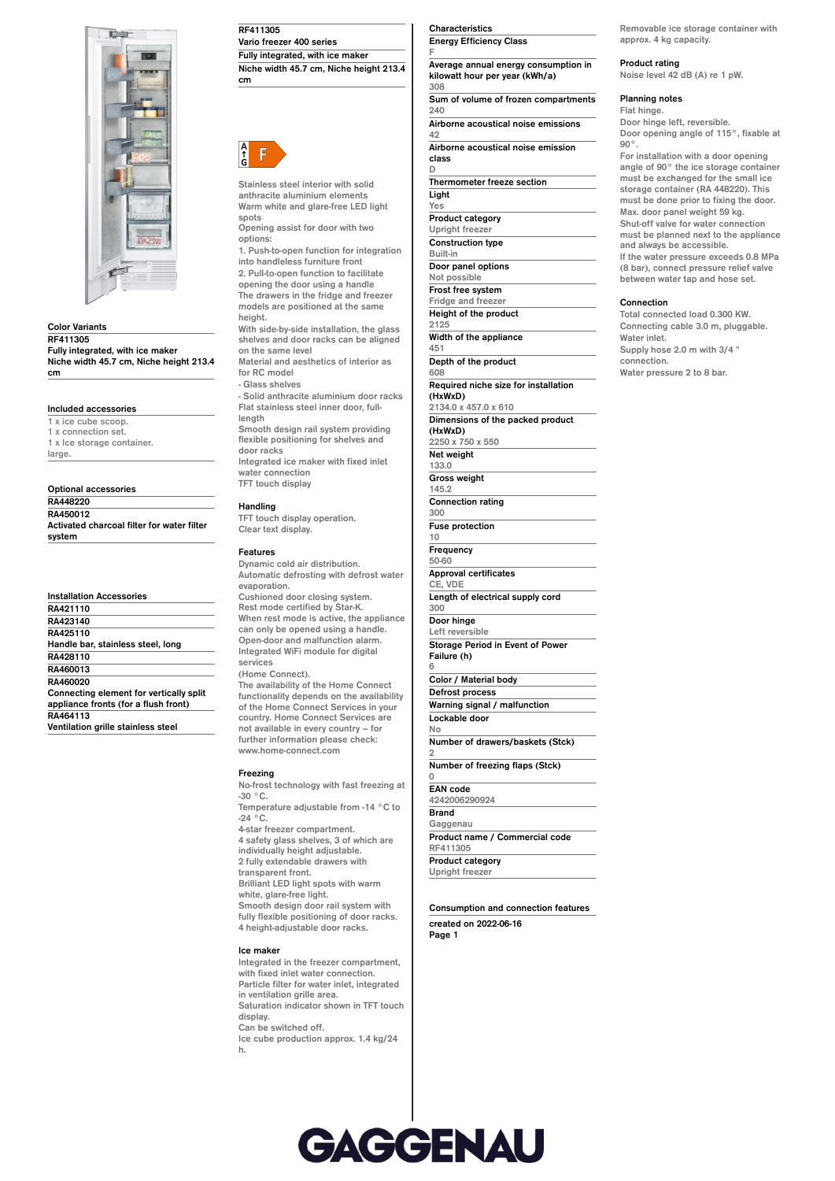

**Color Variants**

**RF411305 Fully integrated, with ice maker Niche width 45.7 cm, Niche height 213.4 cm**

## **Included accessories**

**1 x ice cube scoop. 1 x connection set. 1 x Ice storage container. large.**

| Optional accessories                       |
|--------------------------------------------|
| RA448220                                   |
| RA450012                                   |
| Activated charcoal filter for water filter |
| system                                     |

|          | <b>Installation Accessories</b>         |
|----------|-----------------------------------------|
| RA421110 |                                         |
| RA423140 |                                         |
| RA425110 |                                         |
|          | Handle bar, stainless steel, long       |
| RA428110 |                                         |
| RA460013 |                                         |
| RA460020 |                                         |
|          | Connecting element for vertically split |
|          | appliance fronts (for a flush front)    |
| RA464113 |                                         |
|          | Ventilation grille stainless steel      |

**Ventilation grille stainless steel**

**RF411305**

**Vario freezer 400 series Fully integrated, with ice maker Niche width 45.7 cm, Niche height 213.4 cm**



**Stainless steel interior with solid anthracite aluminium elements Warm white and glare-free LED light spots**

**Opening assist for door with two options:**

**1. Push-to-open function for integration into handleless furniture front 2. Pull-to-open function to facilitate**

**opening the door using a handle The drawers in the fridge and freezer models are positioned at the same height.**

**With side-by-side installation, the glass shelves and door racks can be aligned on the same level Material and aesthetics of interior as**

**for RC model - Glass shelves - Solid anthracite aluminium door racks Flat stainless steel inner door, fulllength**

**Smooth design rail system providing flexible positioning for shelves and door racks Integrated ice maker with fixed inlet water connection TFT touch display**

# **Handling**

**TFT touch display operation. Clear text display.**

### **Features**

**Dynamic cold air distribution. Automatic defrosting with defrost water evaporation. Cushioned door closing system. Rest mode certified by Star-K. When rest mode is active, the appliance can only be opened using a handle. Open-door and malfunction alarm. Integrated WiFi module for digital services (Home Connect).**

**The availability of the Home Connect functionality depends on the availability of the Home Connect Services in your country. Home Connect Services are not available in every country – for further information please check: www.home-connect.com**

## **Freezing**

**No-frost technology with fast freezing at -30 °C. Temperature adjustable from -14 °C to -24 °C. 4-star freezer compartment. 4 safety glass shelves, 3 of which are individually height adjustable. 2 fully extendable drawers with transparent front. Brilliant LED light spots with warm white, glare-free light. Smooth design door rail system with fully flexible positioning of door racks. 4 height-adjustable door racks.**

#### **Ice maker**

**Integrated in the freezer compartment, with fixed inlet water connection. Particle filter for water inlet, integrated in ventilation grille area. Saturation indicator shown in TFT touch display. Can be switched off. Ice cube production approx. 1.4 kg/24 h.**

### **Characteristics Energy Efficiency Class**

**F Average annual energy consumption in kilowatt hour per year (kWh/a) 308 Sum of volume of frozen compartments**

**240 Airborne acoustical noise emissions 42**

**Airborne acoustical noise emission class**

**D**

**Thermometer freeze section Light Yes Product category Upright freezer Construction type Built-in Door panel options Not possible Frost free system Fridge and freezer Height of the product 2125 Width of the appliance 451 Depth of the product 608 Required niche size for installation (HxWxD) 2134.0 x 457.0 x 610 Dimensions of the packed product (HxWxD) 2250 x 750 x 550 Net weight 133.0 Gross weight 145.2 Connection rating 300 Fuse protection 10 Frequency 50-60 Approval certificates CE, VDE Length of electrical supply cord 300 Door hinge Left reversible Storage Period in Event of Power Failure (h)**

**6 Color / Material body Defrost process Warning signal / malfunction Lockable door**

**No Number of drawers/baskets (Stck)**

**2 Number of freezing flaps (Stck)**

**0**

**EAN code 4242006290924 Brand Gaggenau Product name / Commercial code RF411305 Product category Upright freezer**

**Consumption and connection features created on 2022-06-16 Page 1**

**Removable ice storage container with approx. 4 kg capacity.**

# **Product rating**

**Noise level 42 dB (A) re 1 pW.**

### **Planning notes**

**Flat hinge.**

**Door hinge left, reversible. Door opening angle of 115°, fixable at 90°. For installation with a door opening angle of 90° the ice storage container must be exchanged for the small ice storage container (RA 448220). This must be done prior to fixing the door.**

**Max. door panel weight 59 kg. Shut-off valve for water connection must be planned next to the appliance and always be accessible. If the water pressure exceeds 0.8 MPa**

**(8 bar), connect pressure relief valve between water tap and hose set.**

### **Connection**

**Total connected load 0.300 KW. Connecting cable 3.0 m, pluggable. Water inlet. Supply hose 2.0 m with 3/4 " connection. Water pressure 2 to 8 bar.**